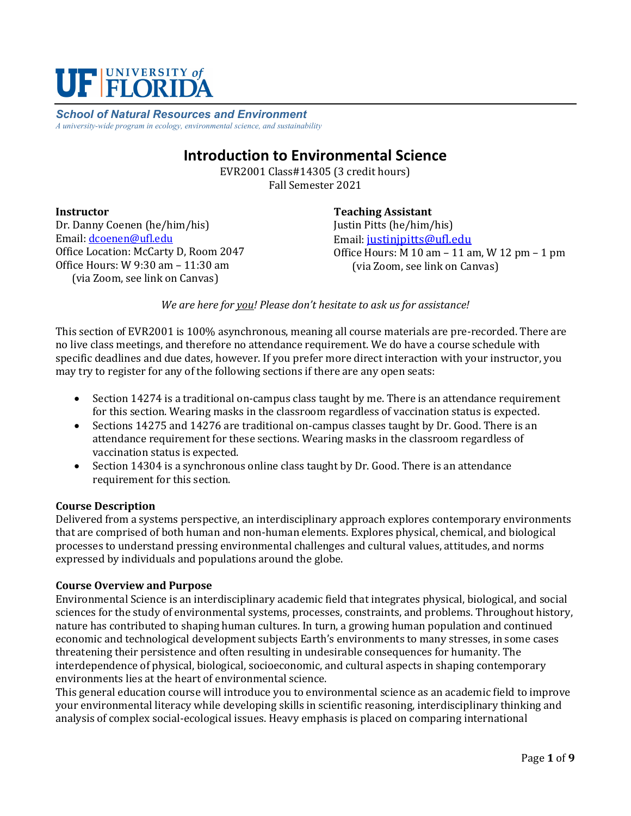

*School of Natural Resources and Environment A university-wide program in ecology, environmental science, and sustainability*

# **Introduction to Environmental Science**

EVR2001 Class#14305 (3 credit hours) Fall Semester 2021

#### **Instructor**

Dr. Danny Coenen (he/him/his) Email: [dcoenen@ufl.edu](mailto:dcoenen@ufl.edu) Office Location: McCarty D, Room 2047 Office Hours: W 9:30 am – 11:30 am (via Zoom, see link on Canvas)

**Teaching Assistant** Justin Pitts (he/him/his) Email: [justinjpitts@ufl.edu](mailto:justinjpitts@ufl.edu) Office Hours: M 10 am – 11 am, W 12 pm – 1 pm (via Zoom, see link on Canvas)

*We are here for you! Please don't hesitate to ask us for assistance!*

This section of EVR2001 is 100% asynchronous, meaning all course materials are pre-recorded. There are no live class meetings, and therefore no attendance requirement. We do have a course schedule with specific deadlines and due dates, however. If you prefer more direct interaction with your instructor, you may try to register for any of the following sections if there are any open seats:

- Section 14274 is a traditional on-campus class taught by me. There is an attendance requirement for this section. Wearing masks in the classroom regardless of vaccination status is expected.
- Sections 14275 and 14276 are traditional on-campus classes taught by Dr. Good. There is an attendance requirement for these sections. Wearing masks in the classroom regardless of vaccination status is expected.
- Section 14304 is a synchronous online class taught by Dr. Good. There is an attendance requirement for this section.

#### **Course Description**

Delivered from a systems perspective, an interdisciplinary approach explores contemporary environments that are comprised of both human and non-human elements. Explores physical, chemical, and biological processes to understand pressing environmental challenges and cultural values, attitudes, and norms expressed by individuals and populations around the globe.

#### **Course Overview and Purpose**

Environmental Science is an interdisciplinary academic field that integrates physical, biological, and social sciences for the study of environmental systems, processes, constraints, and problems. Throughout history, nature has contributed to shaping human cultures. In turn, a growing human population and continued economic and technological development subjects Earth's environments to many stresses, in some cases threatening their persistence and often resulting in undesirable consequences for humanity. The interdependence of physical, biological, socioeconomic, and cultural aspects in shaping contemporary environments lies at the heart of environmental science.

This general education course will introduce you to environmental science as an academic field to improve your environmental literacy while developing skills in scientific reasoning, interdisciplinary thinking and analysis of complex social-ecological issues. Heavy emphasis is placed on comparing international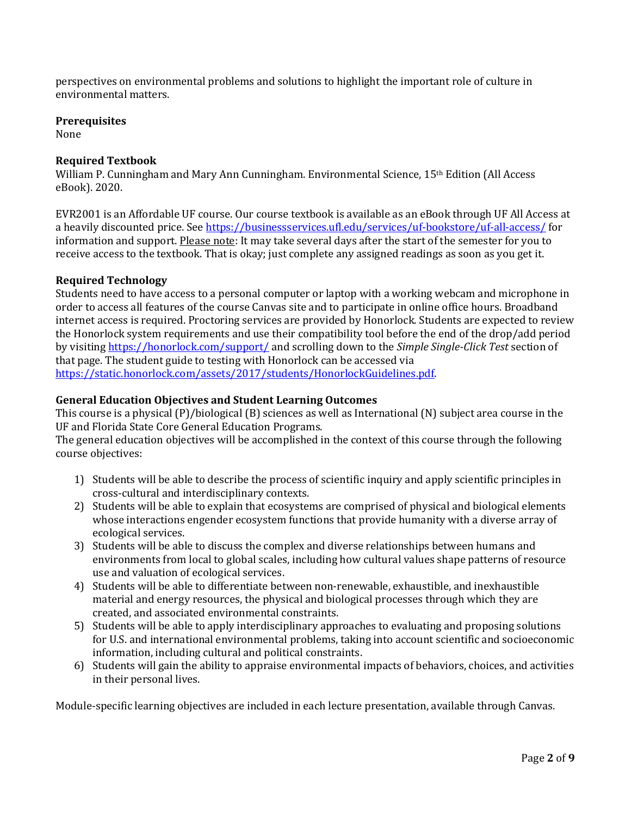perspectives on environmental problems and solutions to highlight the important role of culture in environmental matters.

#### **Prerequisites**

None

## **Required Textbook**

William P. Cunningham and Mary Ann Cunningham. Environmental Science, 15th Edition (All Access eBook). 2020.

EVR2001 is an Affordable UF course. Our course textbook is available as an eBook through UF All Access at a heavily discounted price. See<https://businessservices.ufl.edu/services/uf-bookstore/uf-all-access/> for information and support. Please note: It may take several days after the start of the semester for you to receive access to the textbook. That is okay; just complete any assigned readings as soon as you get it.

## **Required Technology**

Students need to have access to a personal computer or laptop with a working webcam and microphone in order to access all features of the course Canvas site and to participate in online office hours. Broadband internet access is required. Proctoring services are provided by Honorlock. Students are expected to review the Honorlock system requirements and use their compatibility tool before the end of the drop/add period by visiting<https://honorlock.com/support/> and scrolling down to the *Simple Single-Click Test* section of that page. The student guide to testing with Honorlock can be accessed via [https://static.honorlock.com/assets/2017/students/HonorlockGuidelines.pdf.](https://static.honorlock.com/assets/2017/students/HonorlockGuidelines.pdf)

### **General Education Objectives and Student Learning Outcomes**

This course is a physical (P)/biological (B) sciences as well as International (N) subject area course in the UF and Florida State Core General Education Programs.

The general education objectives will be accomplished in the context of this course through the following course objectives:

- 1) Students will be able to describe the process of scientific inquiry and apply scientific principles in cross-cultural and interdisciplinary contexts.
- 2) Students will be able to explain that ecosystems are comprised of physical and biological elements whose interactions engender ecosystem functions that provide humanity with a diverse array of ecological services.
- 3) Students will be able to discuss the complex and diverse relationships between humans and environments from local to global scales, including how cultural values shape patterns of resource use and valuation of ecological services.
- 4) Students will be able to differentiate between non-renewable, exhaustible, and inexhaustible material and energy resources, the physical and biological processes through which they are created, and associated environmental constraints.
- 5) Students will be able to apply interdisciplinary approaches to evaluating and proposing solutions for U.S. and international environmental problems, taking into account scientific and socioeconomic information, including cultural and political constraints.
- 6) Students will gain the ability to appraise environmental impacts of behaviors, choices, and activities in their personal lives.

Module-specific learning objectives are included in each lecture presentation, available through Canvas.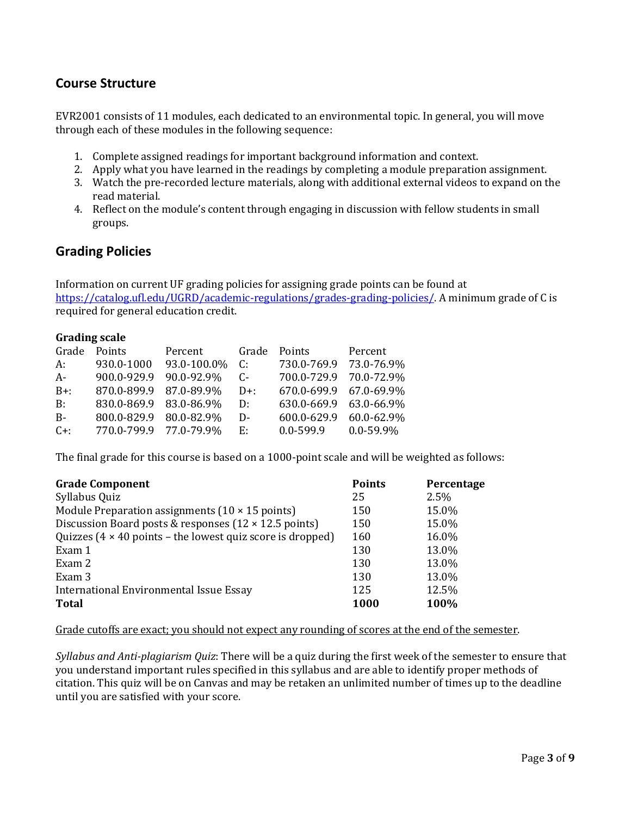# **Course Structure**

EVR2001 consists of 11 modules, each dedicated to an environmental topic. In general, you will move through each of these modules in the following sequence:

- 1. Complete assigned readings for important background information and context.
- 2. Apply what you have learned in the readings by completing a module preparation assignment.
- 3. Watch the pre-recorded lecture materials, along with additional external videos to expand on the read material.
- 4. Reflect on the module's content through engaging in discussion with fellow students in small groups.

## **Grading Policies**

Information on current UF grading policies for assigning grade points can be found at [https://catalog.ufl.edu/UGRD/academic-regulations/grades-grading-policies/.](https://catalog.ufl.edu/UGRD/academic-regulations/grades-grading-policies/) A minimum grade of C is required for general education credit.

| <b>Grading scale</b> |                        |             |        |                        |                |  |  |
|----------------------|------------------------|-------------|--------|------------------------|----------------|--|--|
| Grade                | Points                 | Percent     | Grade  | Points                 | Percent        |  |  |
| A:                   | 930.0-1000             | 93.0-100.0% | C:     | 730.0-769.9            | 73.0-76.9%     |  |  |
| $A-$                 | 900.0-929.9            | 90.0-92.9%  | $C$ -  | 700.0-729.9            | 70.0-72.9%     |  |  |
| $B+$ :               | 870.0-899.9 87.0-89.9% |             | $D+$ : | 670.0-699.9 67.0-69.9% |                |  |  |
| B:                   | 830.0-869.9 83.0-86.9% |             | D:     | 630.0-669.9            | 63.0-66.9%     |  |  |
| $B -$                | 800.0-829.9 80.0-82.9% |             | D-     | 600.0-629.9            | 60.0-62.9%     |  |  |
| $C+$ :               | 770.0-799.9 77.0-79.9% |             | E.     | $0.0 - 599.9$          | $0.0 - 59.9\%$ |  |  |

The final grade for this course is based on a 1000-point scale and will be weighted as follows:

| <b>Grade Component</b>                                                           | <b>Points</b> | Percentage |
|----------------------------------------------------------------------------------|---------------|------------|
| Syllabus Quiz                                                                    | 25            | 2.5%       |
| Module Preparation assignments $(10 \times 15 \text{ points})$                   | 150           | 15.0%      |
| Discussion Board posts & responses $(12 \times 12.5 \text{ points})$             | 150           | 15.0%      |
| Quizzes $(4 \times 40 \text{ points} - \text{the lowest quiz score is dropped})$ | 160           | 16.0%      |
| Exam 1                                                                           | 130           | 13.0%      |
| Exam 2                                                                           | 130           | 13.0%      |
| Exam 3                                                                           | 130           | 13.0%      |
| International Environmental Issue Essay                                          | 125           | 12.5%      |
| <b>Total</b>                                                                     | <b>1000</b>   | 100%       |

#### Grade cutoffs are exact; you should not expect any rounding of scores at the end of the semester.

*Syllabus and Anti-plagiarism Quiz*: There will be a quiz during the first week of the semester to ensure that you understand important rules specified in this syllabus and are able to identify proper methods of citation. This quiz will be on Canvas and may be retaken an unlimited number of times up to the deadline until you are satisfied with your score.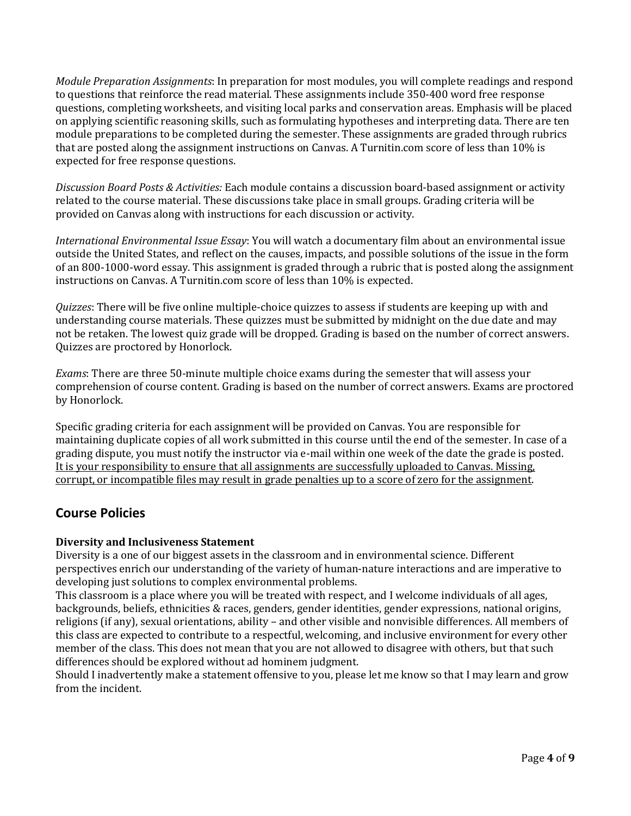*Module Preparation Assignments*: In preparation for most modules, you will complete readings and respond to questions that reinforce the read material. These assignments include 350-400 word free response questions, completing worksheets, and visiting local parks and conservation areas. Emphasis will be placed on applying scientific reasoning skills, such as formulating hypotheses and interpreting data. There are ten module preparations to be completed during the semester. These assignments are graded through rubrics that are posted along the assignment instructions on Canvas. A Turnitin.com score of less than 10% is expected for free response questions.

*Discussion Board Posts & Activities:* Each module contains a discussion board-based assignment or activity related to the course material. These discussions take place in small groups. Grading criteria will be provided on Canvas along with instructions for each discussion or activity.

*International Environmental Issue Essay*: You will watch a documentary film about an environmental issue outside the United States, and reflect on the causes, impacts, and possible solutions of the issue in the form of an 800-1000-word essay. This assignment is graded through a rubric that is posted along the assignment instructions on Canvas. A Turnitin.com score of less than 10% is expected.

*Quizzes*: There will be five online multiple-choice quizzes to assess if students are keeping up with and understanding course materials. These quizzes must be submitted by midnight on the due date and may not be retaken. The lowest quiz grade will be dropped. Grading is based on the number of correct answers. Quizzes are proctored by Honorlock.

*Exams*: There are three 50-minute multiple choice exams during the semester that will assess your comprehension of course content. Grading is based on the number of correct answers. Exams are proctored by Honorlock.

Specific grading criteria for each assignment will be provided on Canvas. You are responsible for maintaining duplicate copies of all work submitted in this course until the end of the semester. In case of a grading dispute, you must notify the instructor via e-mail within one week of the date the grade is posted. It is your responsibility to ensure that all assignments are successfully uploaded to Canvas. Missing, corrupt, or incompatible files may result in grade penalties up to a score of zero for the assignment.

# **Course Policies**

## **Diversity and Inclusiveness Statement**

Diversity is a one of our biggest assets in the classroom and in environmental science. Different perspectives enrich our understanding of the variety of human-nature interactions and are imperative to developing just solutions to complex environmental problems.

This classroom is a place where you will be treated with respect, and I welcome individuals of all ages, backgrounds, beliefs, ethnicities & races, genders, gender identities, gender expressions, national origins, religions (if any), sexual orientations, ability – and other visible and nonvisible differences. All members of this class are expected to contribute to a respectful, welcoming, and inclusive environment for every other member of the class. This does not mean that you are not allowed to disagree with others, but that such differences should be explored without ad hominem judgment.

Should I inadvertently make a statement offensive to you, please let me know so that I may learn and grow from the incident.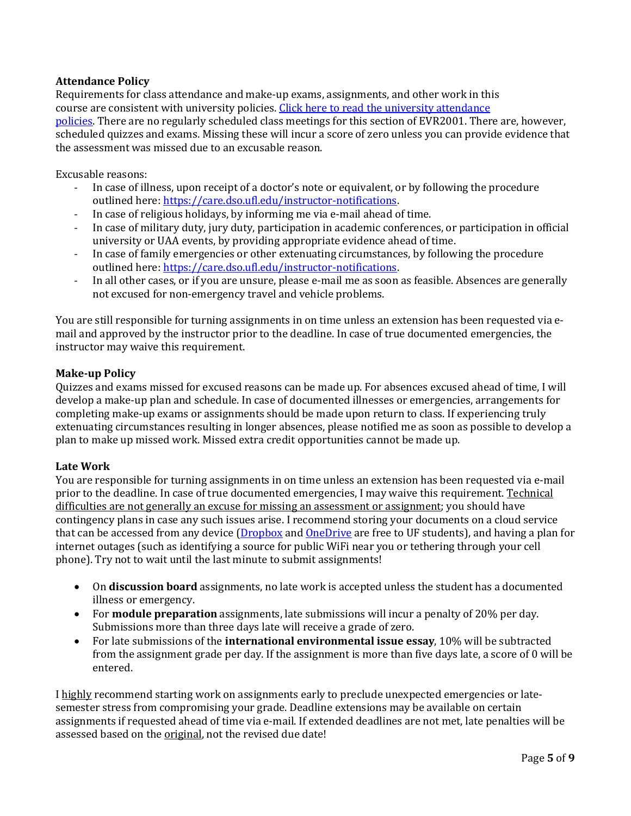## **Attendance Policy**

Requirements for class attendance and make-up exams, assignments, and other work in this course are consistent with university policies. Click here to read the university attendance [policies.](https://catalog.ufl.edu/UGRD/academic-regulations/attendance-policies/) There are no regularly scheduled class meetings for this section of EVR2001. There are, however, scheduled quizzes and exams. Missing these will incur a score of zero unless you can provide evidence that the assessment was missed due to an excusable reason.

Excusable reasons:

- In case of illness, upon receipt of a doctor's note or equivalent, or by following the procedure outlined here: [https://care.dso.ufl.edu/instructor-notifications.](https://care.dso.ufl.edu/instructor-notifications)
- In case of religious holidays, by informing me via e-mail ahead of time.
- In case of military duty, jury duty, participation in academic conferences, or participation in official university or UAA events, by providing appropriate evidence ahead of time.
- In case of family emergencies or other extenuating circumstances, by following the procedure outlined here: [https://care.dso.ufl.edu/instructor-notifications.](https://care.dso.ufl.edu/instructor-notifications)
- In all other cases, or if you are unsure, please e-mail me as soon as feasible. Absences are generally not excused for non-emergency travel and vehicle problems.

You are still responsible for turning assignments in on time unless an extension has been requested via email and approved by the instructor prior to the deadline. In case of true documented emergencies, the instructor may waive this requirement.

### **Make-up Policy**

Quizzes and exams missed for excused reasons can be made up. For absences excused ahead of time, I will develop a make-up plan and schedule. In case of documented illnesses or emergencies, arrangements for completing make-up exams or assignments should be made upon return to class. If experiencing truly extenuating circumstances resulting in longer absences, please notified me as soon as possible to develop a plan to make up missed work. Missed extra credit opportunities cannot be made up.

#### **Late Work**

You are responsible for turning assignments in on time unless an extension has been requested via e-mail prior to the deadline. In case of true documented emergencies, I may waive this requirement. Technical difficulties are not generally an excuse for missing an assessment or assignment; you should have contingency plans in case any such issues arise. I recommend storing your documents on a cloud service that can be accessed from any device [\(Dropbox](https://cloud.it.ufl.edu/collaboration-tools/dropbox/) and [OneDrive](https://cloud.it.ufl.edu/collaboration-tools/office-365/) are free to UF students), and having a plan for internet outages (such as identifying a source for public WiFi near you or tethering through your cell phone). Try not to wait until the last minute to submit assignments!

- On **discussion board** assignments, no late work is accepted unless the student has a documented illness or emergency.
- For **module preparation** assignments, late submissions will incur a penalty of 20% per day. Submissions more than three days late will receive a grade of zero.
- For late submissions of the **international environmental issue essay**, 10% will be subtracted from the assignment grade per day. If the assignment is more than five days late, a score of 0 will be entered.

I highly recommend starting work on assignments early to preclude unexpected emergencies or latesemester stress from compromising your grade. Deadline extensions may be available on certain assignments if requested ahead of time via e-mail. If extended deadlines are not met, late penalties will be assessed based on the original, not the revised due date!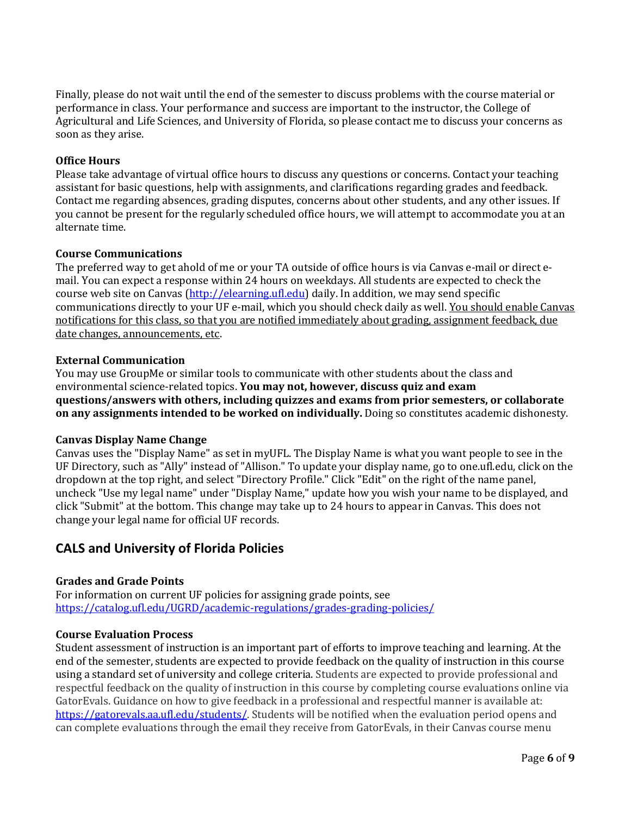Finally, please do not wait until the end of the semester to discuss problems with the course material or performance in class. Your performance and success are important to the instructor, the College of Agricultural and Life Sciences, and University of Florida, so please contact me to discuss your concerns as soon as they arise.

#### **Office Hours**

Please take advantage of virtual office hours to discuss any questions or concerns. Contact your teaching assistant for basic questions, help with assignments, and clarifications regarding grades and feedback. Contact me regarding absences, grading disputes, concerns about other students, and any other issues. If you cannot be present for the regularly scheduled office hours, we will attempt to accommodate you at an alternate time.

#### **Course Communications**

The preferred way to get ahold of me or your TA outside of office hours is via Canvas e-mail or direct email. You can expect a response within 24 hours on weekdays. All students are expected to check the course web site on Canvas [\(http://elearning.ufl.edu\)](http://elearning.ufl.edu/) daily. In addition, we may send specific communications directly to your UF e-mail, which you should check daily as well. You should enable Canvas notifications for this class, so that you are notified immediately about grading, assignment feedback, due date changes, announcements, etc.

#### **External Communication**

You may use GroupMe or similar tools to communicate with other students about the class and environmental science-related topics. **You may not, however, discuss quiz and exam questions/answers with others, including quizzes and exams from prior semesters, or collaborate on any assignments intended to be worked on individually.** Doing so constitutes academic dishonesty.

#### **Canvas Display Name Change**

Canvas uses the "Display Name" as set in myUFL. The Display Name is what you want people to see in the UF Directory, such as "Ally" instead of "Allison." To update your display name, go to one.ufl.edu, click on the dropdown at the top right, and select "Directory Profile." Click "Edit" on the right of the name panel, uncheck "Use my legal name" under "Display Name," update how you wish your name to be displayed, and click "Submit" at the bottom. This change may take up to 24 hours to appear in Canvas. This does not change your legal name for official UF records.

## **CALS and University of Florida Policies**

## **Grades and Grade Points**

For information on current UF policies for assigning grade points, see <https://catalog.ufl.edu/UGRD/academic-regulations/grades-grading-policies/>

#### **Course Evaluation Process**

Student assessment of instruction is an important part of efforts to improve teaching and learning. At the end of the semester, students are expected to provide feedback on the quality of instruction in this course using a standard set of university and college criteria. Students are expected to provide professional and respectful feedback on the quality of instruction in this course by completing course evaluations online via GatorEvals. Guidance on how to give feedback in a professional and respectful manner is available at: [https://gatorevals.aa.ufl.edu/students/.](https://gatorevals.aa.ufl.edu/students/) Students will be notified when the evaluation period opens and can complete evaluations through the email they receive from GatorEvals, in their Canvas course menu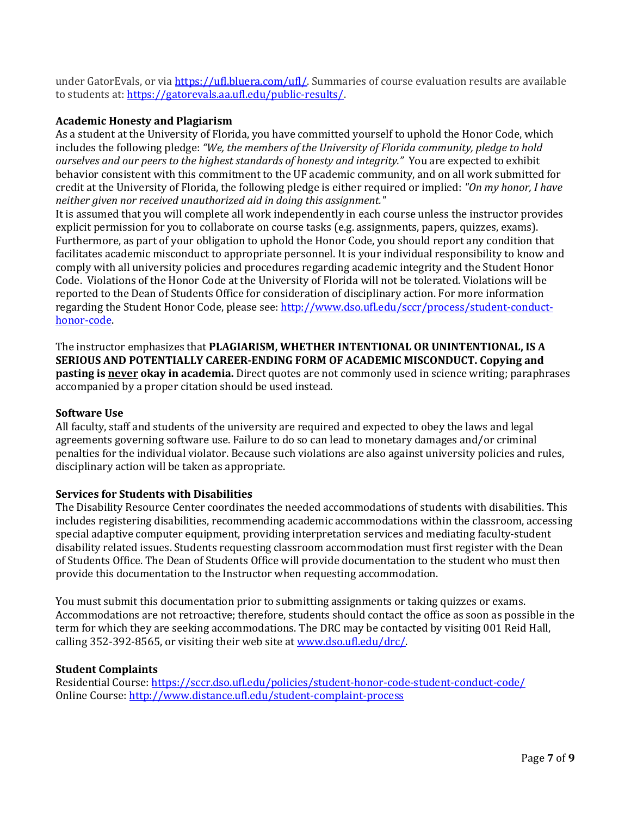under GatorEvals, or vi[a https://ufl.bluera.com/ufl/.](https://ufl.bluera.com/ufl/) Summaries of course evaluation results are available to students at[: https://gatorevals.aa.ufl.edu/public-results/.](https://gatorevals.aa.ufl.edu/public-results/)

#### **Academic Honesty and Plagiarism**

As a student at the University of Florida, you have committed yourself to uphold the Honor Code, which includes the following pledge: *"We, the members of the University of Florida community, pledge to hold ourselves and our peers to the highest standards of honesty and integrity."* You are expected to exhibit behavior consistent with this commitment to the UF academic community, and on all work submitted for credit at the University of Florida, the following pledge is either required or implied: *"On my honor, I have neither given nor received unauthorized aid in doing this assignment."*

It is assumed that you will complete all work independently in each course unless the instructor provides explicit permission for you to collaborate on course tasks (e.g. assignments, papers, quizzes, exams). Furthermore, as part of your obligation to uphold the Honor Code, you should report any condition that facilitates academic misconduct to appropriate personnel. It is your individual responsibility to know and comply with all university policies and procedures regarding academic integrity and the Student Honor Code. Violations of the Honor Code at the University of Florida will not be tolerated. Violations will be reported to the Dean of Students Office for consideration of disciplinary action. For more information regarding the Student Honor Code, please see[: http://www.dso.ufl.edu/sccr/process/student-conduct](http://www.dso.ufl.edu/sccr/process/student-conduct-honor-code)[honor-code.](http://www.dso.ufl.edu/sccr/process/student-conduct-honor-code)

The instructor emphasizes that **PLAGIARISM, WHETHER INTENTIONAL OR UNINTENTIONAL, IS A SERIOUS AND POTENTIALLY CAREER-ENDING FORM OF ACADEMIC MISCONDUCT. Copying and pasting is never okay in academia.** Direct quotes are not commonly used in science writing; paraphrases accompanied by a proper citation should be used instead.

#### **Software Use**

All faculty, staff and students of the university are required and expected to obey the laws and legal agreements governing software use. Failure to do so can lead to monetary damages and/or criminal penalties for the individual violator. Because such violations are also against university policies and rules, disciplinary action will be taken as appropriate.

#### **Services for Students with Disabilities**

The Disability Resource Center coordinates the needed accommodations of students with disabilities. This includes registering disabilities, recommending academic accommodations within the classroom, accessing special adaptive computer equipment, providing interpretation services and mediating faculty-student disability related issues. Students requesting classroom accommodation must first register with the Dean of Students Office. The Dean of Students Office will provide documentation to the student who must then provide this documentation to the Instructor when requesting accommodation.

You must submit this documentation prior to submitting assignments or taking quizzes or exams. Accommodations are not retroactive; therefore, students should contact the office as soon as possible in the term for which they are seeking accommodations. The DRC may be contacted by visiting 001 Reid Hall, calling 352-392-8565, or visiting their web site a[t www.dso.ufl.edu/drc/.](http://www.dso.ufl.edu/drc/)

#### **Student Complaints**

Residential Course:<https://sccr.dso.ufl.edu/policies/student-honor-code-student-conduct-code/> Online Course[: http://www.distance.ufl.edu/student-complaint-process](http://www.distance.ufl.edu/student-complaint-process)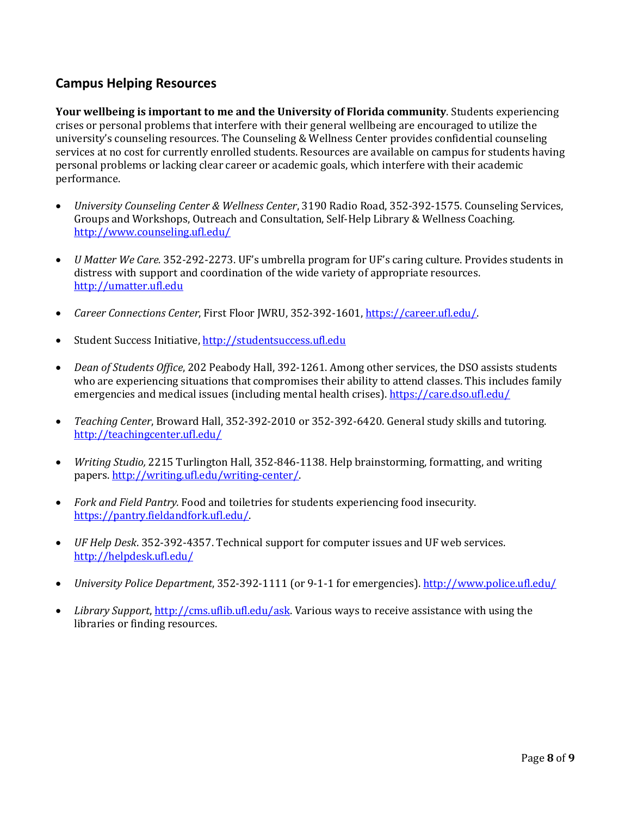# **Campus Helping Resources**

**Your wellbeing is important to me and the University of Florida community**. Students experiencing crises or personal problems that interfere with their general wellbeing are encouraged to utilize the university's counseling resources. The Counseling & Wellness Center provides confidential counseling services at no cost for currently enrolled students. Resources are available on campus for students having personal problems or lacking clear career or academic goals, which interfere with their academic performance.

- *University Counseling Center & Wellness Center*, 3190 Radio Road, 352-392-1575. Counseling Services, Groups and Workshops, Outreach and Consultation, Self-Help Library & Wellness Coaching. <http://www.counseling.ufl.edu/>
- *U Matter We Care.* 352*-*292-2273. UF's umbrella program for UF's caring culture. Provides students in distress with support and coordination of the wide variety of appropriate resources. [http://umatter.ufl.edu](http://umatter.ufl.edu/)
- *Career Connections Center*, First Floor JWRU, 352-392-1601, [https://career.ufl.edu/.](https://career.ufl.edu/)
- Student Success Initiative, [http://studentsuccess.ufl.edu](http://studentsuccess.ufl.edu/)
- *Dean of Students Office*, 202 Peabody Hall, 392-1261. Among other services, the DSO assists students who are experiencing situations that compromises their ability to attend classes. This includes family emergencies and medical issues (including mental health crises).<https://care.dso.ufl.edu/>
- *Teaching Center*, Broward Hall, 352-392-2010 or 352-392-6420. General study skills and tutoring. <http://teachingcenter.ufl.edu/>
- *Writing Studio,* 2215 Turlington Hall, 352*-*846-1138. Help brainstorming, formatting, and writing papers. [http://writing.ufl.edu/writing-center/.](http://writing.ufl.edu/writing-center/)
- *Fork and Field Pantry.* Food and toiletries for students experiencing food insecurity. [https://pantry.fieldandfork.ufl.edu/.](https://pantry.fieldandfork.ufl.edu/)
- *UF Help Desk*. 352-392-4357. Technical support for computer issues and UF web services. <http://helpdesk.ufl.edu/>
- *University Police Department*, 352-392-1111 (or 9-1-1 for emergencies).<http://www.police.ufl.edu/>
- *Library Support*, [http://cms.uflib.ufl.edu/ask.](http://cms.uflib.ufl.edu/ask) Various ways to receive assistance with using the libraries or finding resources.